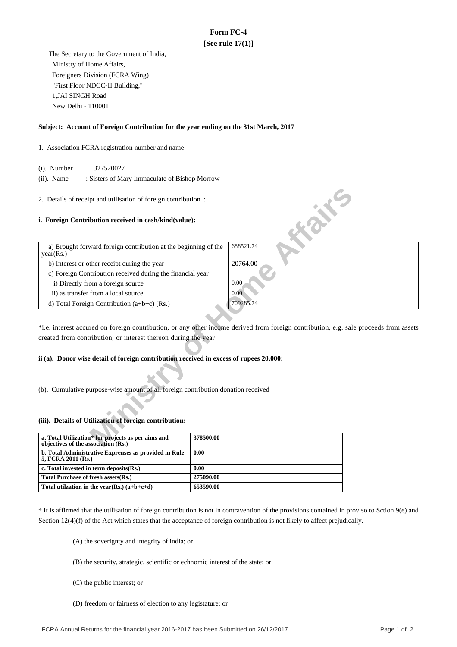# **Form FC-4 [See rule 17(1)]**

 The Secretary to the Government of India, Ministry of Home Affairs, Foreigners Division (FCRA Wing) "First Floor NDCC-II Building," 1,JAI SINGH Road New Delhi - 110001

### **Subject: Account of Foreign Contribution for the year ending on the 31st March, 2017**

### 1. Association FCRA registration number and name

(i). Number : 327520027

 (ii). Name : Sisters of Mary Immaculate of Bishop Morrow

#### **i. Foreign Contribution received in cash/kind(value):**

| 2. Details of receipt and utilisation of foreign contribution:                            |                                                                                                                                       |
|-------------------------------------------------------------------------------------------|---------------------------------------------------------------------------------------------------------------------------------------|
| i. Foreign Contribution received in cash/kind(value):                                     | <b>FORE</b>                                                                                                                           |
| a) Brought forward foreign contribution at the beginning of the<br>year(Rs.)              | 688521.74                                                                                                                             |
| b) Interest or other receipt during the year                                              | 20764.00                                                                                                                              |
| c) Foreign Contribution received during the financial year                                |                                                                                                                                       |
| i) Directly from a foreign source                                                         | 0.00                                                                                                                                  |
| ii) as transfer from a local source                                                       | 0.00                                                                                                                                  |
| d) Total Foreign Contribution $(a+b+c)$ (Rs.)                                             | 709285.74                                                                                                                             |
| created from contribution, or interest thereon during the year                            | *i.e. interest accured on foreign contribution, or any other income derived from foreign contribution, e.g. sale proceeds from assets |
| ii (a). Donor wise detail of foreign contribution received in excess of rupees 20,000:    |                                                                                                                                       |
| (b). Cumulative purpose-wise amount of all foreign contribution donation received :       |                                                                                                                                       |
| (iii). Details of Utilization of foreign contribution:                                    |                                                                                                                                       |
| a. Total Utilization* for projects as per aims and<br>objectives of the association (Rs.) | 378500.00                                                                                                                             |

## **ii (a). Donor wise detail of foreign contribution received in excess of rupees 20,000:**

#### **(iii). Details of Utilization of foreign contribution:**

| a. Total Utilization* for projects as per aims and<br>objectives of the association (Rs.) | 378500.00 |
|-------------------------------------------------------------------------------------------|-----------|
| b. Total Administrative Exprenses as provided in Rule<br>5, FCRA 2011 (Rs.)               | 0.00      |
| c. Total invested in term deposits (Rs.)                                                  | 0.00      |
| Total Purchase of fresh assets (Rs.)                                                      | 275090.00 |
| Total utilization in the year(Rs.) $(a+b+c+d)$                                            | 653590.00 |

\* It is affirmed that the utilisation of foreign contribution is not in contravention of the provisions contained in proviso to Sction 9(e) and Section 12(4)(f) of the Act which states that the acceptance of foreign contribution is not likely to affect prejudically.

(A) the soverignty and integrity of india; or.

- (B) the security, strategic, scientific or echnomic interest of the state; or
- (C) the public interest; or
- (D) freedom or fairness of election to any legistature; or